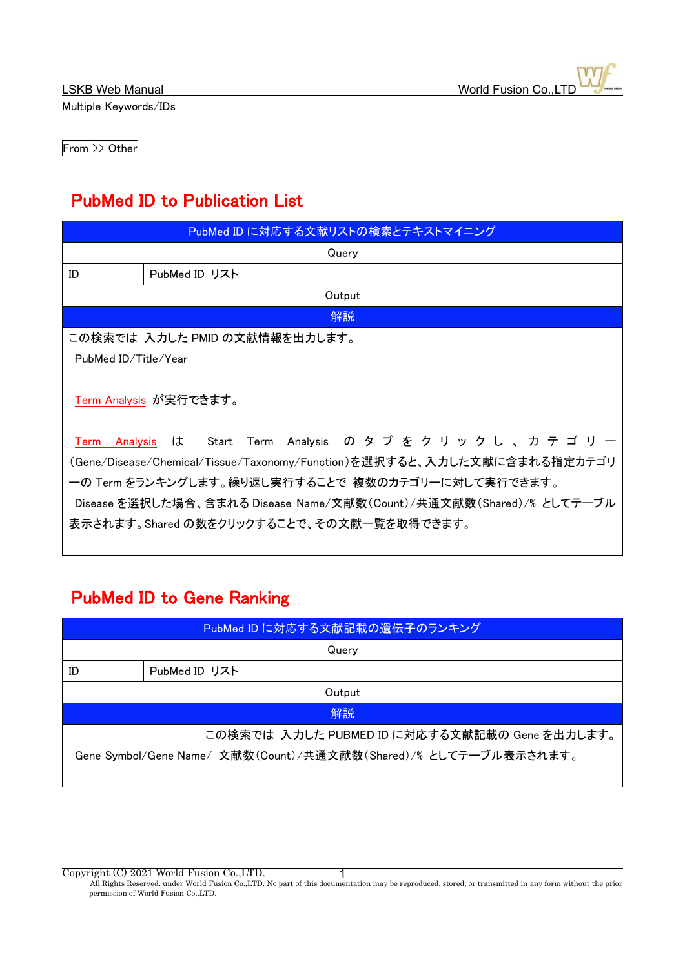From >> Other

# PubMed ID to Publication List

| PubMed ID に対応する文献リストの検索とテキストマイニング                                        |                                       |  |
|--------------------------------------------------------------------------|---------------------------------------|--|
|                                                                          | Query                                 |  |
| ID                                                                       | PubMed ID リスト                         |  |
|                                                                          | Output                                |  |
|                                                                          | 解説                                    |  |
| この検索では 入力した PMID の文献情報を出力します。                                            |                                       |  |
| PubMed ID/Title/Year                                                     |                                       |  |
| Term Analysis が実行できます。                                                   |                                       |  |
| Analysis<br>Term                                                         | は Start Term Analysis のタブをクリックし、カテゴリー |  |
| (Gene/Disease/Chemical/Tissue/Taxonomy/Function)を選択すると、入力した文献に含まれる指定カテゴリ |                                       |  |
| 一の Term をランキングします。繰り返し実行することで 複数のカテゴリーに対して実行できます。                        |                                       |  |
| Disease を選択した場合、含まれる Disease Name/文献数(Count)/共通文献数(Shared)/% としてテーブル     |                                       |  |
| 表示されます。Shared の数をクリックすることで、その文献一覧を取得できます。                                |                                       |  |
|                                                                          |                                       |  |

# PubMed ID to Gene Ranking

| PubMed ID に対応する文献記載の遺伝子のランキング                                    |               |  |
|------------------------------------------------------------------|---------------|--|
| Query                                                            |               |  |
| ID                                                               | PubMed ID リスト |  |
| Output                                                           |               |  |
| 解説                                                               |               |  |
| この検索では 入力した PUBMED ID に対応する文献記載の Gene を出力します。                    |               |  |
| Gene Symbol/Gene Name/ 文献数(Count)/共通文献数(Shared)/% としてテーブル表示されます。 |               |  |

Copyright (C) 2021 World Fusion Co.,LTD.

All Rights Reserved. under World Fusion Co.,LTD. No part of this documentation may be reproduced, stored, or transmitted in any form without the prior permission of World Fusion Co.,LTD. 1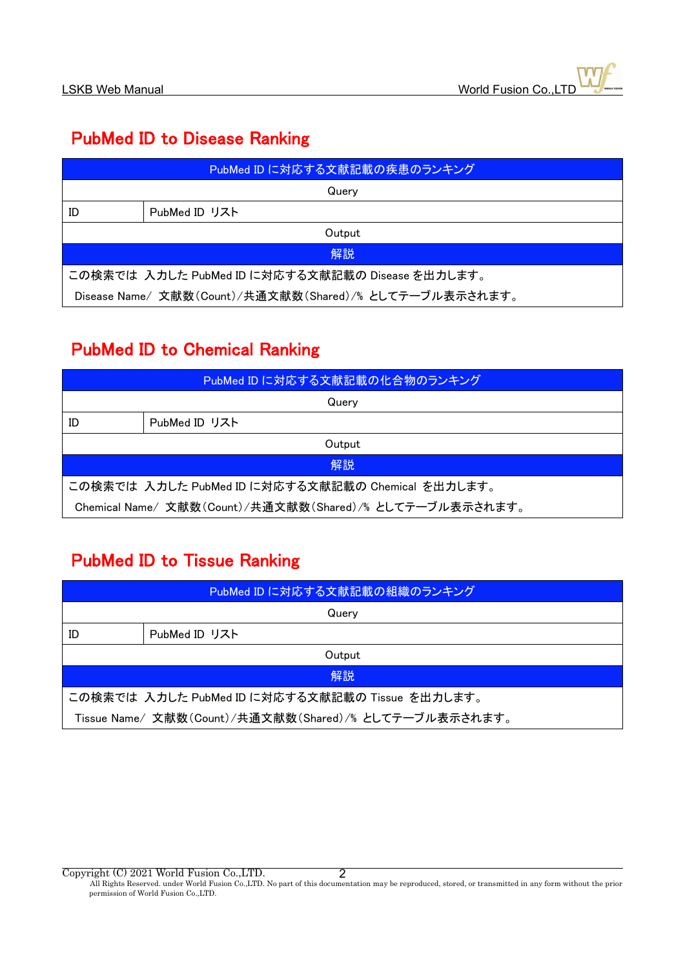### PubMed ID to Disease Ranking

| PubMed ID に対応する文献記載の疾患のランキング                           |               |  |
|--------------------------------------------------------|---------------|--|
| Querv                                                  |               |  |
| ID                                                     | PubMed ID リスト |  |
| Output                                                 |               |  |
| 解説                                                     |               |  |
| この検索では 入力した PubMed ID に対応する文献記載の Disease を出力します。       |               |  |
| Disease Name/文献数(Count)/共通文献数(Shared)/% としてテーブル表示されます。 |               |  |

## PubMed ID to Chemical Ranking

| PubMed ID に対応する文献記載の化合物のランキング                           |               |  |
|---------------------------------------------------------|---------------|--|
| Querv                                                   |               |  |
| ID                                                      | PubMed ID リスト |  |
| Output                                                  |               |  |
| 解説                                                      |               |  |
| この検索では 入力した PubMed ID に対応する文献記載の Chemical を出力します。       |               |  |
| Chemical Name/文献数(Count)/共通文献数(Shared)/% としてテーブル表示されます。 |               |  |

### PubMed ID to Tissue Ranking

| PubMed ID に対応する文献記載の組織のランキング                           |               |  |
|--------------------------------------------------------|---------------|--|
| Querv                                                  |               |  |
| ID                                                     | PubMed ID リスト |  |
| Output                                                 |               |  |
| 解説                                                     |               |  |
| この検索では 入力した PubMed ID に対応する文献記載の Tissue を出力します。        |               |  |
| Tissue Name/ 文献数(Count)/共通文献数(Shared)/% としてテーブル表示されます。 |               |  |